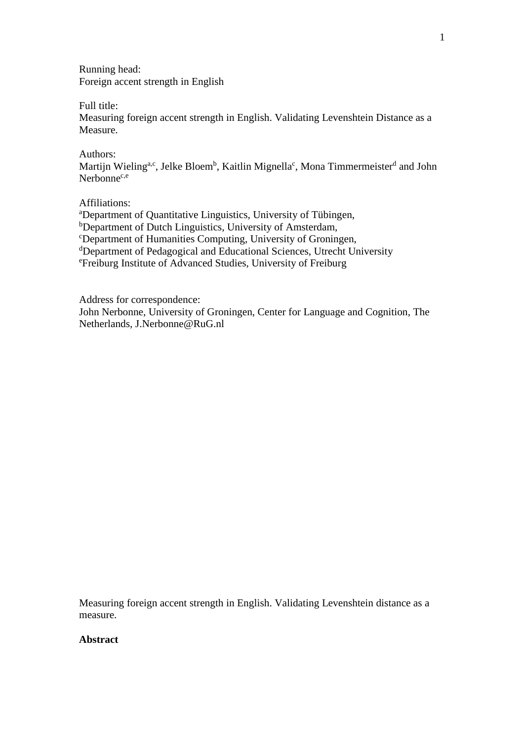Running head: Foreign accent strength in English

Full title:

Measuring foreign accent strength in English. Validating Levenshtein Distance as a Measure.

Authors:

Martijn Wieling<sup>a,c</sup>, Jelke Bloem<sup>b</sup>, Kaitlin Mignella<sup>c</sup>, Mona Timmermeister<sup>d</sup> and John Nerbonne<sup>c,e</sup>

Affiliations:

<sup>a</sup>Department of Quantitative Linguistics, University of Tübingen, b<sub>Department of Dutch Linguistics</sub>, University of Amsterdam, <sup>c</sup>Department of Humanities Computing, University of Groningen, <sup>d</sup>Department of Pedagogical and Educational Sciences, Utrecht University <sup>e</sup>Freiburg Institute of Advanced Studies, University of Freiburg

Address for correspondence:

John Nerbonne, University of Groningen, Center for Language and Cognition, The Netherlands, J.Nerbonne@RuG.nl

Measuring foreign accent strength in English. Validating Levenshtein distance as a measure.

# **Abstract**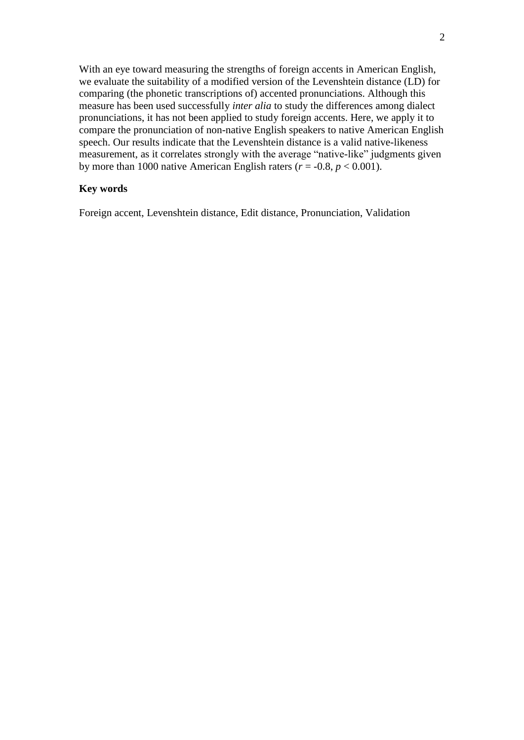With an eye toward measuring the strengths of foreign accents in American English, we evaluate the suitability of a modified version of the Levenshtein distance (LD) for comparing (the phonetic transcriptions of) accented pronunciations. Although this measure has been used successfully *inter alia* to study the differences among dialect pronunciations, it has not been applied to study foreign accents. Here, we apply it to compare the pronunciation of non-native English speakers to native American English speech. Our results indicate that the Levenshtein distance is a valid native-likeness measurement, as it correlates strongly with the average "native-like" judgments given by more than 1000 native American English raters  $(r = -0.8, p < 0.001)$ .

# **Key words**

Foreign accent, Levenshtein distance, Edit distance, Pronunciation, Validation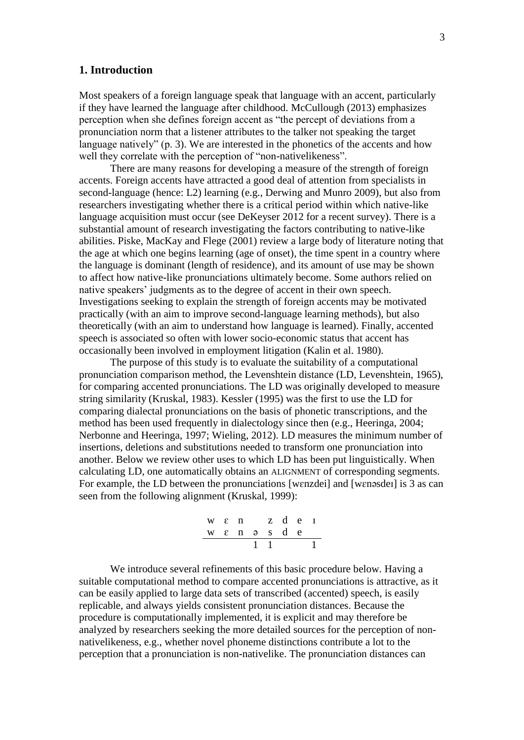## **1. Introduction**

Most speakers of a foreign language speak that language with an accent, particularly if they have learned the language after childhood. McCullough (2013) emphasizes perception when she defines foreign accent as "the percept of deviations from a pronunciation norm that a listener attributes to the talker not speaking the target language natively" (p. 3). We are interested in the phonetics of the accents and how well they correlate with the perception of "non-nativelikeness".

There are many reasons for developing a measure of the strength of foreign accents. Foreign accents have attracted a good deal of attention from specialists in second-language (hence: L2) learning (e.g., Derwing and Munro 2009), but also from researchers investigating whether there is a critical period within which native-like language acquisition must occur (see DeKeyser 2012 for a recent survey). There is a substantial amount of research investigating the factors contributing to native-like abilities. Piske, MacKay and Flege (2001) review a large body of literature noting that the age at which one begins learning (age of onset), the time spent in a country where the language is dominant (length of residence), and its amount of use may be shown to affect how native-like pronunciations ultimately become. Some authors relied on native speakers' judgments as to the degree of accent in their own speech. Investigations seeking to explain the strength of foreign accents may be motivated practically (with an aim to improve second-language learning methods), but also theoretically (with an aim to understand how language is learned). Finally, accented speech is associated so often with lower socio-economic status that accent has occasionally been involved in employment litigation (Kalin et al. 1980).

The purpose of this study is to evaluate the suitability of a computational pronunciation comparison method, the Levenshtein distance (LD, Levenshtein, 1965), for comparing accented pronunciations. The LD was originally developed to measure string similarity (Kruskal, 1983). Kessler (1995) was the first to use the LD for comparing dialectal pronunciations on the basis of phonetic transcriptions, and the method has been used frequently in dialectology since then (e.g., Heeringa, 2004; Nerbonne and Heeringa, 1997; Wieling, 2012). LD measures the minimum number of insertions, deletions and substitutions needed to transform one pronunciation into another. Below we review other uses to which LD has been put linguistically. When calculating LD, one automatically obtains an ALIGNMENT of corresponding segments. For example, the LD between the pronunciations [wɛnzdei] and [wɛnəsdeɪ] is 3 as can seen from the following alignment (Kruskal, 1999):



We introduce several refinements of this basic procedure below. Having a suitable computational method to compare accented pronunciations is attractive, as it can be easily applied to large data sets of transcribed (accented) speech, is easily replicable, and always yields consistent pronunciation distances. Because the procedure is computationally implemented, it is explicit and may therefore be analyzed by researchers seeking the more detailed sources for the perception of nonnativelikeness, e.g., whether novel phoneme distinctions contribute a lot to the perception that a pronunciation is non-nativelike. The pronunciation distances can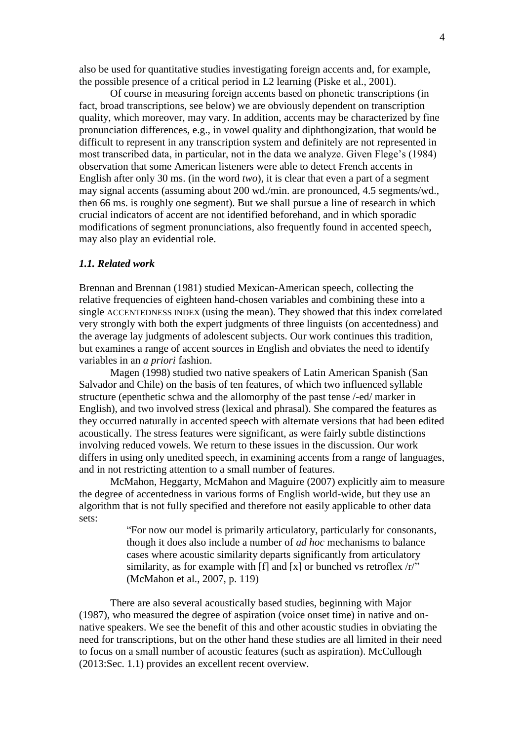also be used for quantitative studies investigating foreign accents and, for example, the possible presence of a critical period in L2 learning (Piske et al., 2001).

Of course in measuring foreign accents based on phonetic transcriptions (in fact, broad transcriptions, see below) we are obviously dependent on transcription quality, which moreover, may vary. In addition, accents may be characterized by fine pronunciation differences, e.g., in vowel quality and diphthongization, that would be difficult to represent in any transcription system and definitely are not represented in most transcribed data, in particular, not in the data we analyze. Given Flege's (1984) observation that some American listeners were able to detect French accents in English after only 30 ms. (in the word *two*), it is clear that even a part of a segment may signal accents (assuming about 200 wd./min. are pronounced, 4.5 segments/wd., then 66 ms. is roughly one segment). But we shall pursue a line of research in which crucial indicators of accent are not identified beforehand, and in which sporadic modifications of segment pronunciations, also frequently found in accented speech, may also play an evidential role.

#### *1.1. Related work*

Brennan and Brennan (1981) studied Mexican-American speech, collecting the relative frequencies of eighteen hand-chosen variables and combining these into a single ACCENTEDNESS INDEX (using the mean). They showed that this index correlated very strongly with both the expert judgments of three linguists (on accentedness) and the average lay judgments of adolescent subjects. Our work continues this tradition, but examines a range of accent sources in English and obviates the need to identify variables in an *a priori* fashion.

Magen (1998) studied two native speakers of Latin American Spanish (San Salvador and Chile) on the basis of ten features, of which two influenced syllable structure (epenthetic schwa and the allomorphy of the past tense /-ed/ marker in English), and two involved stress (lexical and phrasal). She compared the features as they occurred naturally in accented speech with alternate versions that had been edited acoustically. The stress features were significant, as were fairly subtle distinctions involving reduced vowels. We return to these issues in the discussion. Our work differs in using only unedited speech, in examining accents from a range of languages, and in not restricting attention to a small number of features.

McMahon, Heggarty, McMahon and Maguire (2007) explicitly aim to measure the degree of accentedness in various forms of English world-wide, but they use an algorithm that is not fully specified and therefore not easily applicable to other data sets:

> "For now our model is primarily articulatory, particularly for consonants, though it does also include a number of *ad hoc* mechanisms to balance cases where acoustic similarity departs significantly from articulatory similarity, as for example with [f] and [x] or bunched vs retroflex  $\langle r \rangle$ " (McMahon et al., 2007, p. 119)

There are also several acoustically based studies, beginning with Major (1987), who measured the degree of aspiration (voice onset time) in native and onnative speakers. We see the benefit of this and other acoustic studies in obviating the need for transcriptions, but on the other hand these studies are all limited in their need to focus on a small number of acoustic features (such as aspiration). McCullough (2013:Sec. 1.1) provides an excellent recent overview.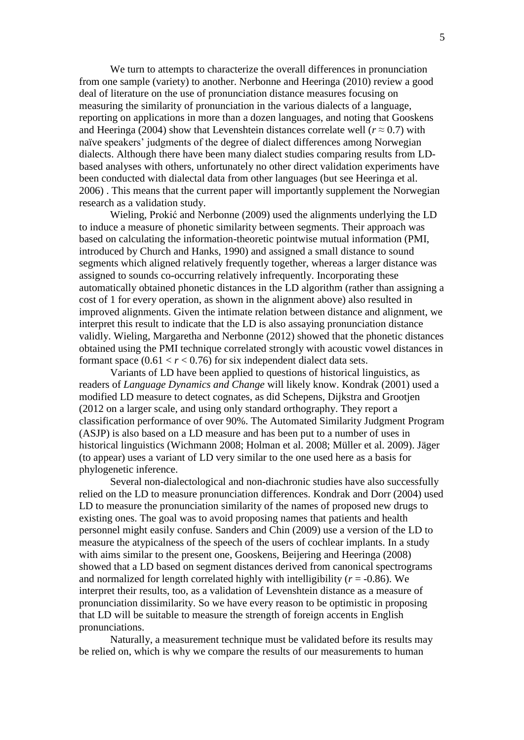We turn to attempts to characterize the overall differences in pronunciation from one sample (variety) to another. Nerbonne and Heeringa (2010) review a good deal of literature on the use of pronunciation distance measures focusing on measuring the similarity of pronunciation in the various dialects of a language, reporting on applications in more than a dozen languages, and noting that Gooskens and Heeringa (2004) show that Levenshtein distances correlate well ( $r \approx 0.7$ ) with naïve speakers' judgments of the degree of dialect differences among Norwegian dialects. Although there have been many dialect studies comparing results from LDbased analyses with others, unfortunately no other direct validation experiments have been conducted with dialectal data from other languages (but see Heeringa et al. 2006) . This means that the current paper will importantly supplement the Norwegian research as a validation study.

Wieling, Prokić and Nerbonne (2009) used the alignments underlying the LD to induce a measure of phonetic similarity between segments. Their approach was based on calculating the information-theoretic pointwise mutual information (PMI, introduced by Church and Hanks, 1990) and assigned a small distance to sound segments which aligned relatively frequently together, whereas a larger distance was assigned to sounds co-occurring relatively infrequently. Incorporating these automatically obtained phonetic distances in the LD algorithm (rather than assigning a cost of 1 for every operation, as shown in the alignment above) also resulted in improved alignments. Given the intimate relation between distance and alignment, we interpret this result to indicate that the LD is also assaying pronunciation distance validly. Wieling, Margaretha and Nerbonne (2012) showed that the phonetic distances obtained using the PMI technique correlated strongly with acoustic vowel distances in formant space  $(0.61 < r < 0.76)$  for six independent dialect data sets.

Variants of LD have been applied to questions of historical linguistics, as readers of *Language Dynamics and Change* will likely know. Kondrak (2001) used a modified LD measure to detect cognates, as did Schepens, Dijkstra and Grootjen (2012 on a larger scale, and using only standard orthography. They report a classification performance of over 90%. The Automated Similarity Judgment Program (ASJP) is also based on a LD measure and has been put to a number of uses in historical linguistics (Wichmann 2008; Holman et al. 2008; Müller et al. 2009). Jäger (to appear) uses a variant of LD very similar to the one used here as a basis for phylogenetic inference.

Several non-dialectological and non-diachronic studies have also successfully relied on the LD to measure pronunciation differences. Kondrak and Dorr (2004) used LD to measure the pronunciation similarity of the names of proposed new drugs to existing ones. The goal was to avoid proposing names that patients and health personnel might easily confuse. Sanders and Chin (2009) use a version of the LD to measure the atypicalness of the speech of the users of cochlear implants. In a study with aims similar to the present one, Gooskens, Beijering and Heeringa (2008) showed that a LD based on segment distances derived from canonical spectrograms and normalized for length correlated highly with intelligibility  $(r = -0.86)$ . We interpret their results, too, as a validation of Levenshtein distance as a measure of pronunciation dissimilarity. So we have every reason to be optimistic in proposing that LD will be suitable to measure the strength of foreign accents in English pronunciations.

Naturally, a measurement technique must be validated before its results may be relied on, which is why we compare the results of our measurements to human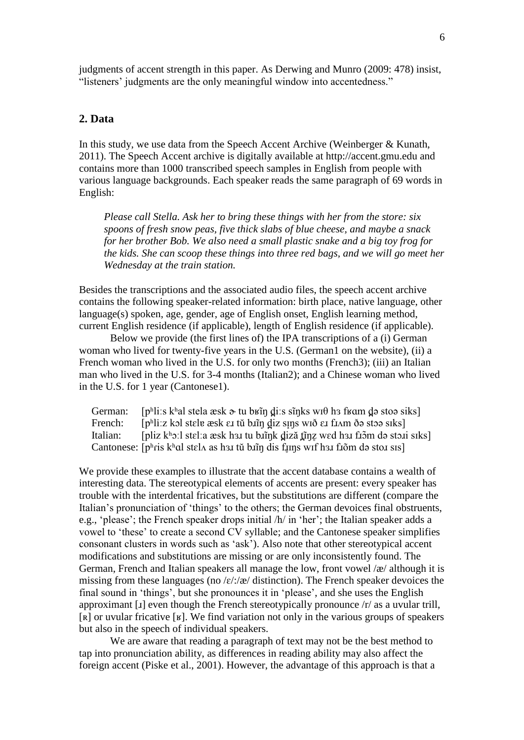judgments of accent strength in this paper. As Derwing and Munro (2009: 478) insist, "listeners' judgments are the only meaningful window into accentedness."

# **2. Data**

In this study, we use data from the Speech Accent Archive (Weinberger & Kunath, 2011). The Speech Accent archive is digitally available at http://accent.gmu.edu and contains more than 1000 transcribed speech samples in English from people with various language backgrounds. Each speaker reads the same paragraph of 69 words in English:

*Please call Stella. Ask her to bring these things with her from the store: six spoons of fresh snow peas, five thick slabs of blue cheese, and maybe a snack for her brother Bob. We also need a small plastic snake and a big toy frog for the kids. She can scoop these things into three red bags, and we will go meet her Wednesday at the train station.*

Besides the transcriptions and the associated audio files, the speech accent archive contains the following speaker-related information: birth place, native language, other language(s) spoken, age, gender, age of English onset, English learning method, current English residence (if applicable), length of English residence (if applicable).

Below we provide (the first lines of) the IPA transcriptions of a (i) German woman who lived for twenty-five years in the U.S. (German1 on the website), (ii) a French woman who lived in the U.S. for only two months (French3); (iii) an Italian man who lived in the U.S. for 3-4 months (Italian2); and a Chinese woman who lived in the U.S. for 1 year (Cantonese1).

German: [pʰliːs kʰal stela æsk  $\alpha$  tu bʁĩn diːs sĩnks wɪθ hɜ fʁɑm də stoə siks] French: [pʰliːz kɔl stɛlɐ æsk ɛɹ tŭ biĩŋ d̪iz sɪn̪s wɪð ɛɹ fɹʌm ðə stɔə sɪks]<br>Italian: [pliz kʰɔːl stɛlːa æsk hɜɪ tu biĭnk diză tĩnz wed hɜɪ fɪɔ̃m də stɔɪi [pliz kʰɔːl stɛlːa æsk hɜɪ tu binnɛn] diză tinz wed hɜɪ fiɔ̃m də stɔːi sɪks] Cantonese:  $[p<sup>h</sup>ris k<sup>h</sup>al stelA as h3I tŭ bīn̄g dis fūns wıf h3I fīõm də stoI sis]$ 

We provide these examples to illustrate that the accent database contains a wealth of interesting data. The stereotypical elements of accents are present: every speaker has trouble with the interdental fricatives, but the substitutions are different (compare the Italian's pronunciation of 'things' to the others; the German devoices final obstruents, e.g., 'please'; the French speaker drops initial /h/ in 'her'; the Italian speaker adds a vowel to 'these' to create a second CV syllable; and the Cantonese speaker simplifies consonant clusters in words such as 'ask'). Also note that other stereotypical accent modifications and substitutions are missing or are only inconsistently found. The German, French and Italian speakers all manage the low, front vowel /æ/ although it is missing from these languages (no  $\frac{\mathcal{E}}{\mathcal{E}}$  distinction). The French speaker devoices the final sound in 'things', but she pronounces it in 'please', and she uses the English approximant [ɹ] even though the French stereotypically pronounce /r/ as a uvular trill, [ʀ] or uvular fricative [ʁ]. We find variation not only in the various groups of speakers but also in the speech of individual speakers.

We are aware that reading a paragraph of text may not be the best method to tap into pronunciation ability, as differences in reading ability may also affect the foreign accent (Piske et al., 2001). However, the advantage of this approach is that a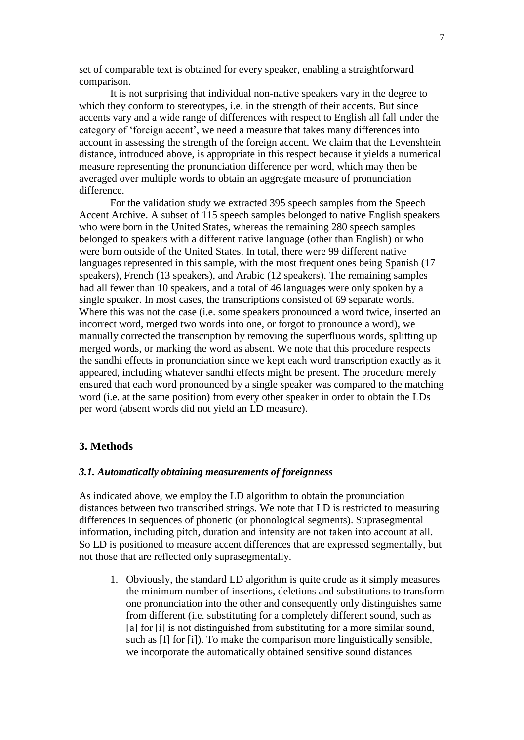set of comparable text is obtained for every speaker, enabling a straightforward comparison.

It is not surprising that individual non-native speakers vary in the degree to which they conform to stereotypes, i.e. in the strength of their accents. But since accents vary and a wide range of differences with respect to English all fall under the category of 'foreign accent', we need a measure that takes many differences into account in assessing the strength of the foreign accent. We claim that the Levenshtein distance, introduced above, is appropriate in this respect because it yields a numerical measure representing the pronunciation difference per word, which may then be averaged over multiple words to obtain an aggregate measure of pronunciation difference.

For the validation study we extracted 395 speech samples from the Speech Accent Archive. A subset of 115 speech samples belonged to native English speakers who were born in the United States, whereas the remaining 280 speech samples belonged to speakers with a different native language (other than English) or who were born outside of the United States. In total, there were 99 different native languages represented in this sample, with the most frequent ones being Spanish (17 speakers), French (13 speakers), and Arabic (12 speakers). The remaining samples had all fewer than 10 speakers, and a total of 46 languages were only spoken by a single speaker. In most cases, the transcriptions consisted of 69 separate words. Where this was not the case (i.e. some speakers pronounced a word twice, inserted an incorrect word, merged two words into one, or forgot to pronounce a word), we manually corrected the transcription by removing the superfluous words, splitting up merged words, or marking the word as absent. We note that this procedure respects the sandhi effects in pronunciation since we kept each word transcription exactly as it appeared, including whatever sandhi effects might be present. The procedure merely ensured that each word pronounced by a single speaker was compared to the matching word (i.e. at the same position) from every other speaker in order to obtain the LDs per word (absent words did not yield an LD measure).

## **3. Methods**

## *3.1. Automatically obtaining measurements of foreignness*

As indicated above, we employ the LD algorithm to obtain the pronunciation distances between two transcribed strings. We note that LD is restricted to measuring differences in sequences of phonetic (or phonological segments). Suprasegmental information, including pitch, duration and intensity are not taken into account at all. So LD is positioned to measure accent differences that are expressed segmentally, but not those that are reflected only suprasegmentally.

1. Obviously, the standard LD algorithm is quite crude as it simply measures the minimum number of insertions, deletions and substitutions to transform one pronunciation into the other and consequently only distinguishes same from different (i.e. substituting for a completely different sound, such as [a] for [i] is not distinguished from substituting for a more similar sound, such as [I] for [i]). To make the comparison more linguistically sensible, we incorporate the automatically obtained sensitive sound distances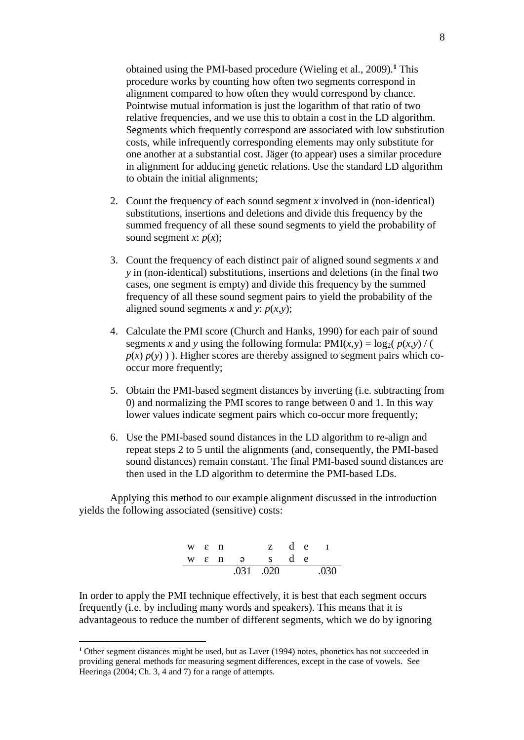obtained using the PMI-based procedure (Wieling et al., 2009). **<sup>1</sup>** This procedure works by counting how often two segments correspond in alignment compared to how often they would correspond by chance. Pointwise mutual information is just the logarithm of that ratio of two relative frequencies, and we use this to obtain a cost in the LD algorithm. Segments which frequently correspond are associated with low substitution costs, while infrequently corresponding elements may only substitute for one another at a substantial cost. Jäger (to appear) uses a similar procedure in alignment for adducing genetic relations. Use the standard LD algorithm to obtain the initial alignments;

- 2. Count the frequency of each sound segment *x* involved in (non-identical) substitutions, insertions and deletions and divide this frequency by the summed frequency of all these sound segments to yield the probability of sound segment *x*:  $p(x)$ ;
- 3. Count the frequency of each distinct pair of aligned sound segments *x* and *y* in (non-identical) substitutions, insertions and deletions (in the final two cases, one segment is empty) and divide this frequency by the summed frequency of all these sound segment pairs to yield the probability of the aligned sound segments *x* and *y*:  $p(x,y)$ ;
- 4. Calculate the PMI score (Church and Hanks, 1990) for each pair of sound segments *x* and *y* using the following formula:  $PMI(x, y) = log_2(p(x, y) / ($  $p(x) p(y)$ ). Higher scores are thereby assigned to segment pairs which cooccur more frequently;
- 5. Obtain the PMI-based segment distances by inverting (i.e. subtracting from 0) and normalizing the PMI scores to range between 0 and 1. In this way lower values indicate segment pairs which co-occur more frequently;
- 6. Use the PMI-based sound distances in the LD algorithm to re-align and repeat steps 2 to 5 until the alignments (and, consequently, the PMI-based sound distances) remain constant. The final PMI-based sound distances are then used in the LD algorithm to determine the PMI-based LDs.

Applying this method to our example alignment discussed in the introduction yields the following associated (sensitive) costs:

|                    |  | .031 .020              |  | .030 |
|--------------------|--|------------------------|--|------|
|                    |  | $w \epsilon$ n a s d e |  |      |
| $W \in \mathbb{R}$ |  | z de 1                 |  |      |

In order to apply the PMI technique effectively, it is best that each segment occurs frequently (i.e. by including many words and speakers). This means that it is advantageous to reduce the number of different segments, which we do by ignoring

 $\overline{a}$ 

**<sup>1</sup>** Other segment distances might be used, but as Laver (1994) notes, phonetics has not succeeded in providing general methods for measuring segment differences, except in the case of vowels. See Heeringa (2004; Ch. 3, 4 and 7) for a range of attempts.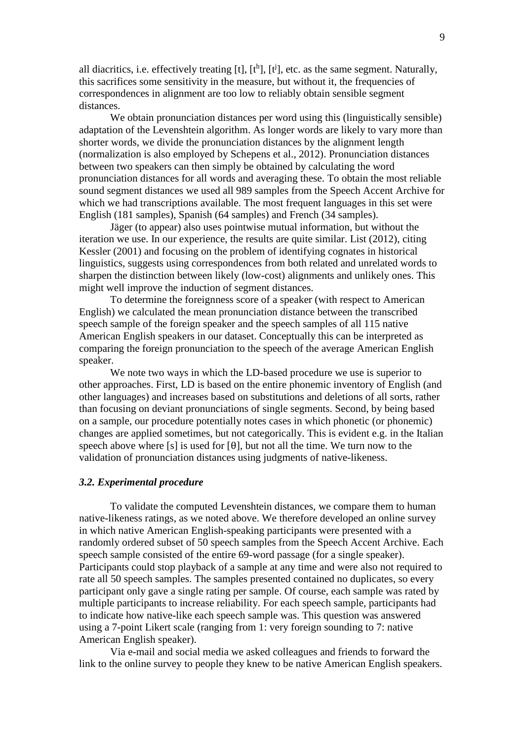all diacritics, i.e. effectively treating [t],  $[t^h]$ ,  $[t^j]$ , etc. as the same segment. Naturally, this sacrifices some sensitivity in the measure, but without it, the frequencies of correspondences in alignment are too low to reliably obtain sensible segment distances.

We obtain pronunciation distances per word using this (linguistically sensible) adaptation of the Levenshtein algorithm. As longer words are likely to vary more than shorter words, we divide the pronunciation distances by the alignment length (normalization is also employed by Schepens et al., 2012). Pronunciation distances between two speakers can then simply be obtained by calculating the word pronunciation distances for all words and averaging these. To obtain the most reliable sound segment distances we used all 989 samples from the Speech Accent Archive for which we had transcriptions available. The most frequent languages in this set were English (181 samples), Spanish (64 samples) and French (34 samples).

Jäger (to appear) also uses pointwise mutual information, but without the iteration we use. In our experience, the results are quite similar. List (2012), citing Kessler (2001) and focusing on the problem of identifying cognates in historical linguistics, suggests using correspondences from both related and unrelated words to sharpen the distinction between likely (low-cost) alignments and unlikely ones. This might well improve the induction of segment distances.

To determine the foreignness score of a speaker (with respect to American English) we calculated the mean pronunciation distance between the transcribed speech sample of the foreign speaker and the speech samples of all 115 native American English speakers in our dataset. Conceptually this can be interpreted as comparing the foreign pronunciation to the speech of the average American English speaker.

We note two ways in which the LD-based procedure we use is superior to other approaches. First, LD is based on the entire phonemic inventory of English (and other languages) and increases based on substitutions and deletions of all sorts, rather than focusing on deviant pronunciations of single segments. Second, by being based on a sample, our procedure potentially notes cases in which phonetic (or phonemic) changes are applied sometimes, but not categorically. This is evident e.g. in the Italian speech above where [s] is used for [ $\theta$ ], but not all the time. We turn now to the validation of pronunciation distances using judgments of native-likeness.

#### *3.2. Experimental procedure*

To validate the computed Levenshtein distances, we compare them to human native-likeness ratings, as we noted above. We therefore developed an online survey in which native American English-speaking participants were presented with a randomly ordered subset of 50 speech samples from the Speech Accent Archive. Each speech sample consisted of the entire 69-word passage (for a single speaker). Participants could stop playback of a sample at any time and were also not required to rate all 50 speech samples. The samples presented contained no duplicates, so every participant only gave a single rating per sample. Of course, each sample was rated by multiple participants to increase reliability. For each speech sample, participants had to indicate how native-like each speech sample was. This question was answered using a 7-point Likert scale (ranging from 1: very foreign sounding to 7: native American English speaker).

Via e-mail and social media we asked colleagues and friends to forward the link to the online survey to people they knew to be native American English speakers.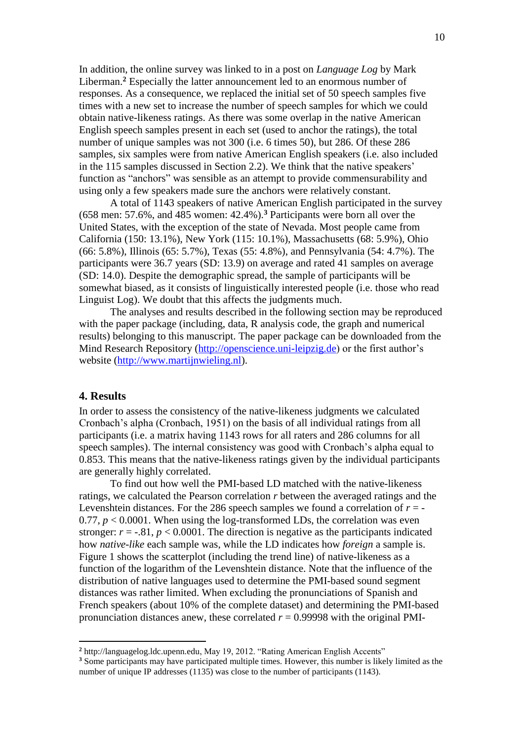In addition, the online survey was linked to in a post on *Language Log* by Mark Liberman.**<sup>2</sup>** Especially the latter announcement led to an enormous number of responses. As a consequence, we replaced the initial set of 50 speech samples five times with a new set to increase the number of speech samples for which we could obtain native-likeness ratings. As there was some overlap in the native American English speech samples present in each set (used to anchor the ratings), the total number of unique samples was not 300 (i.e. 6 times 50), but 286. Of these 286 samples, six samples were from native American English speakers (i.e. also included in the 115 samples discussed in Section 2.2). We think that the native speakers' function as "anchors" was sensible as an attempt to provide commensurability and using only a few speakers made sure the anchors were relatively constant.

A total of 1143 speakers of native American English participated in the survey (658 men: 57.6%, and 485 women: 42.4%).**<sup>3</sup>** Participants were born all over the United States, with the exception of the state of Nevada. Most people came from California (150: 13.1%), New York (115: 10.1%), Massachusetts (68: 5.9%), Ohio (66: 5.8%), Illinois (65: 5.7%), Texas (55: 4.8%), and Pennsylvania (54: 4.7%). The participants were 36.7 years (SD: 13.9) on average and rated 41 samples on average (SD: 14.0). Despite the demographic spread, the sample of participants will be somewhat biased, as it consists of linguistically interested people (i.e. those who read Linguist Log). We doubt that this affects the judgments much.

The analyses and results described in the following section may be reproduced with the paper package (including, data, R analysis code, the graph and numerical results) belonging to this manuscript. The paper package can be downloaded from the Mind Research Repository [\(http://openscience.uni-leipzig.de\)](http://openscience.uni-leipzig.de/) or the first author's website [\(http://www.martijnwieling.nl\)](http://www.martijnwieling.nl/).

## **4. Results**

 $\overline{a}$ 

In order to assess the consistency of the native-likeness judgments we calculated Cronbach's alpha (Cronbach, 1951) on the basis of all individual ratings from all participants (i.e. a matrix having 1143 rows for all raters and 286 columns for all speech samples). The internal consistency was good with Cronbach's alpha equal to 0.853. This means that the native-likeness ratings given by the individual participants are generally highly correlated.

To find out how well the PMI-based LD matched with the native-likeness ratings, we calculated the Pearson correlation *r* between the averaged ratings and the Levenshtein distances. For the 286 speech samples we found a correlation of  $r = -$ 0.77,  $p < 0.0001$ . When using the log-transformed LDs, the correlation was even stronger:  $r = -0.81$ ,  $p < 0.0001$ . The direction is negative as the participants indicated how *native-like* each sample was, while the LD indicates how *foreign* a sample is. Figure 1 shows the scatterplot (including the trend line) of native-likeness as a function of the logarithm of the Levenshtein distance. Note that the influence of the distribution of native languages used to determine the PMI-based sound segment distances was rather limited. When excluding the pronunciations of Spanish and French speakers (about 10% of the complete dataset) and determining the PMI-based pronunciation distances anew, these correlated  $r = 0.99998$  with the original PMI-

**<sup>2</sup>** http://languagelog.ldc.upenn.edu, May 19, 2012. "Rating American English Accents"

**<sup>3</sup>** Some participants may have participated multiple times. However, this number is likely limited as the number of unique IP addresses (1135) was close to the number of participants (1143).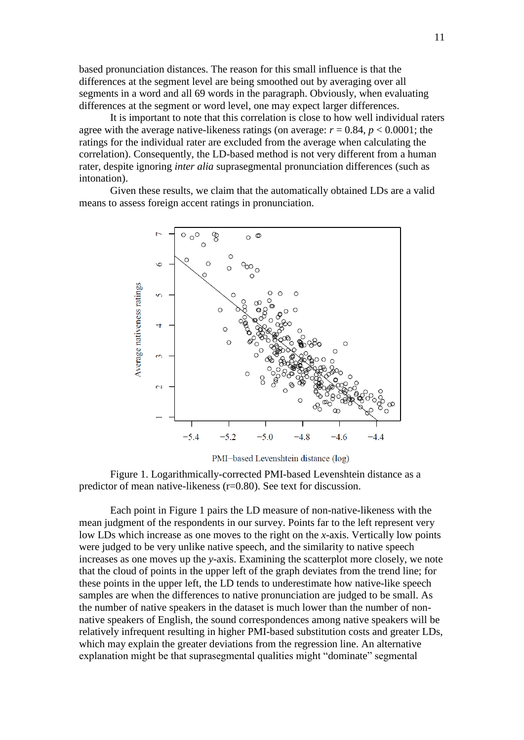based pronunciation distances. The reason for this small influence is that the differences at the segment level are being smoothed out by averaging over all segments in a word and all 69 words in the paragraph. Obviously, when evaluating differences at the segment or word level, one may expect larger differences.

It is important to note that this correlation is close to how well individual raters agree with the average native-likeness ratings (on average:  $r = 0.84$ ,  $p < 0.0001$ ; the ratings for the individual rater are excluded from the average when calculating the correlation). Consequently, the LD-based method is not very different from a human rater, despite ignoring *inter alia* suprasegmental pronunciation differences (such as intonation).

Given these results, we claim that the automatically obtained LDs are a valid means to assess foreign accent ratings in pronunciation.



PMI-based Levenshtein distance (log)

Figure 1. Logarithmically-corrected PMI-based Levenshtein distance as a predictor of mean native-likeness (r=0.80). See text for discussion.

Each point in Figure 1 pairs the LD measure of non-native-likeness with the mean judgment of the respondents in our survey. Points far to the left represent very low LDs which increase as one moves to the right on the *x*-axis. Vertically low points were judged to be very unlike native speech, and the similarity to native speech increases as one moves up the *y*-axis. Examining the scatterplot more closely, we note that the cloud of points in the upper left of the graph deviates from the trend line; for these points in the upper left, the LD tends to underestimate how native-like speech samples are when the differences to native pronunciation are judged to be small. As the number of native speakers in the dataset is much lower than the number of nonnative speakers of English, the sound correspondences among native speakers will be relatively infrequent resulting in higher PMI-based substitution costs and greater LDs, which may explain the greater deviations from the regression line. An alternative explanation might be that suprasegmental qualities might "dominate" segmental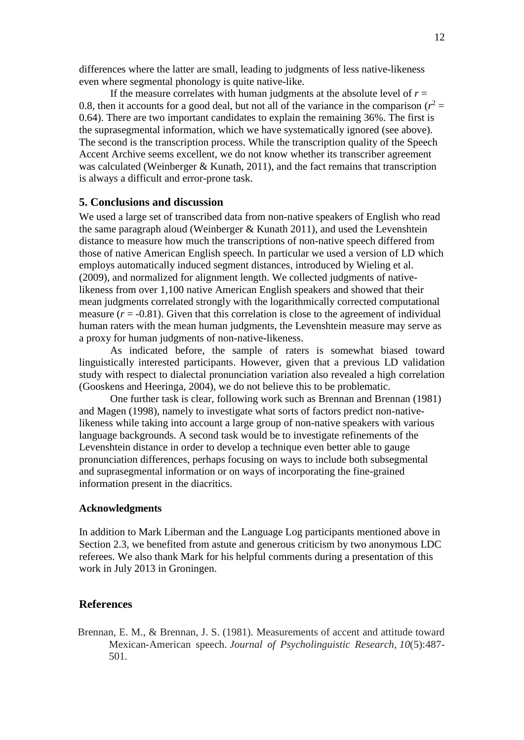differences where the latter are small, leading to judgments of less native-likeness even where segmental phonology is quite native-like.

If the measure correlates with human judgments at the absolute level of  $r =$ 0.8, then it accounts for a good deal, but not all of the variance in the comparison  $(r^2 =$ 0.64). There are two important candidates to explain the remaining 36%. The first is the suprasegmental information, which we have systematically ignored (see above). The second is the transcription process. While the transcription quality of the Speech Accent Archive seems excellent, we do not know whether its transcriber agreement was calculated (Weinberger & Kunath, 2011), and the fact remains that transcription is always a difficult and error-prone task.

# **5. Conclusions and discussion**

We used a large set of transcribed data from non-native speakers of English who read the same paragraph aloud (Weinberger & Kunath 2011), and used the Levenshtein distance to measure how much the transcriptions of non-native speech differed from those of native American English speech. In particular we used a version of LD which employs automatically induced segment distances, introduced by Wieling et al. (2009), and normalized for alignment length. We collected judgments of nativelikeness from over 1,100 native American English speakers and showed that their mean judgments correlated strongly with the logarithmically corrected computational measure  $(r = -0.81)$ . Given that this correlation is close to the agreement of individual human raters with the mean human judgments, the Levenshtein measure may serve as a proxy for human judgments of non-native-likeness.

As indicated before, the sample of raters is somewhat biased toward linguistically interested participants. However, given that a previous LD validation study with respect to dialectal pronunciation variation also revealed a high correlation (Gooskens and Heeringa, 2004), we do not believe this to be problematic.

One further task is clear, following work such as Brennan and Brennan (1981) and Magen (1998), namely to investigate what sorts of factors predict non-nativelikeness while taking into account a large group of non-native speakers with various language backgrounds. A second task would be to investigate refinements of the Levenshtein distance in order to develop a technique even better able to gauge pronunciation differences, perhaps focusing on ways to include both subsegmental and suprasegmental information or on ways of incorporating the fine-grained information present in the diacritics.

## **Acknowledgments**

In addition to Mark Liberman and the Language Log participants mentioned above in Section 2.3, we benefited from astute and generous criticism by two anonymous LDC referees. We also thank Mark for his helpful comments during a presentation of this work in July 2013 in Groningen.

#### **References**

Brennan, E. M., & Brennan, J. S. (1981). Measurements of accent and attitude toward Mexican-American speech. *Journal of Psycholinguistic Research*, *10*(5):487- 501.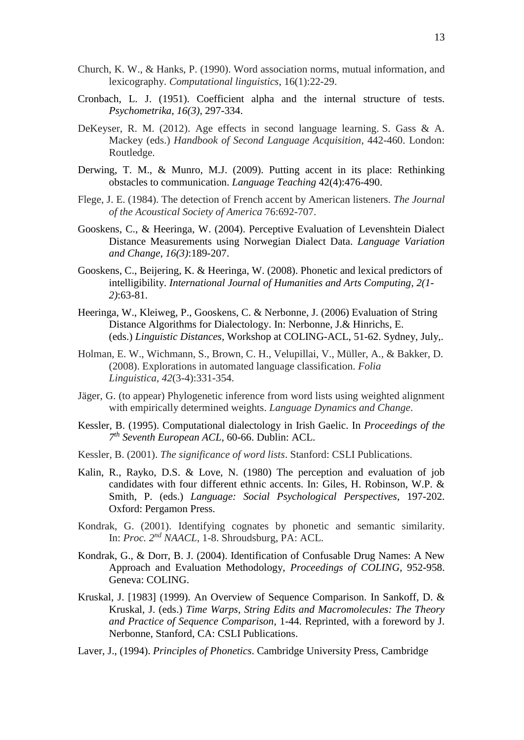- Church, K. W., & Hanks, P. (1990). Word association norms, mutual information, and lexicography. *Computational linguistics*, 16(1):22-29.
- Cronbach, L. J. (1951). Coefficient alpha and the internal structure of tests. *Psychometrika*, *16(3)*, 297-334.
- DeKeyser, R. M. (2012). Age effects in second language learning. S. Gass & A. Mackey (eds.) *Handbook of Second Language Acquisition*, 442-460. London: Routledge.
- Derwing, T. M., & Munro, M.J. (2009). Putting accent in its place: Rethinking obstacles to communication. *Language Teaching* 42(4):476-490.
- Flege, J. E. (1984). The detection of French accent by American listeners. *The Journal of the Acoustical Society of America* 76:692-707.
- Gooskens, C., & Heeringa, W. (2004). Perceptive Evaluation of Levenshtein Dialect Distance Measurements using Norwegian Dialect Data. *Language Variation and Change*, *16(3)*:189-207.
- Gooskens, C., Beijering, K. & Heeringa, W. (2008). Phonetic and lexical predictors of intelligibility. *International Journal of Humanities and Arts Computing, 2(1- 2)*:63-81.
- Heeringa, W., Kleiweg, P., Gooskens, C. & Nerbonne, J. (2006) Evaluation of String Distance Algorithms for Dialectology. In: Nerbonne, J.& Hinrichs, E. (eds.) *Linguistic Distances,* Workshop at COLING-ACL, 51-62. Sydney, July,.
- Holman, E. W., Wichmann, S., Brown, C. H., Velupillai, V., Müller, A., & Bakker, D. (2008). Explorations in automated language classification. *Folia Linguistica*, *42*(3-4):331-354.
- Jäger, G. (to appear) Phylogenetic inference from word lists using weighted alignment with empirically determined weights. *Language Dynamics and Change*.
- Kessler, B. (1995). Computational dialectology in Irish Gaelic. In *Proceedings of the 7 th Seventh European ACL*, 60-66. Dublin: ACL.
- Kessler, B. (2001). *The significance of word lists*. Stanford: CSLI Publications.
- Kalin, R., Rayko, D.S. & Love, N. (1980) The perception and evaluation of job candidates with four different ethnic accents. In: Giles, H. Robinson, W.P. & Smith, P. (eds.) *Language: Social Psychological Perspectives*, 197-202. Oxford: Pergamon Press.
- Kondrak, G. (2001). Identifying cognates by phonetic and semantic similarity. In: *Proc. 2nd NAACL,* 1-8. Shroudsburg, PA: ACL.
- Kondrak, G., & Dorr, B. J. (2004). Identification of Confusable Drug Names: A New Approach and Evaluation Methodology, *Proceedings of COLING*, 952-958. Geneva: COLING.
- Kruskal, J. [1983] (1999). An Overview of Sequence Comparison. In Sankoff, D. & Kruskal, J. (eds.) *Time Warps, String Edits and Macromolecules: The Theory and Practice of Sequence Comparison*, 1-44. Reprinted, with a foreword by J. Nerbonne, Stanford, CA: CSLI Publications.
- Laver, J., (1994). *Principles of Phonetics*. Cambridge University Press, Cambridge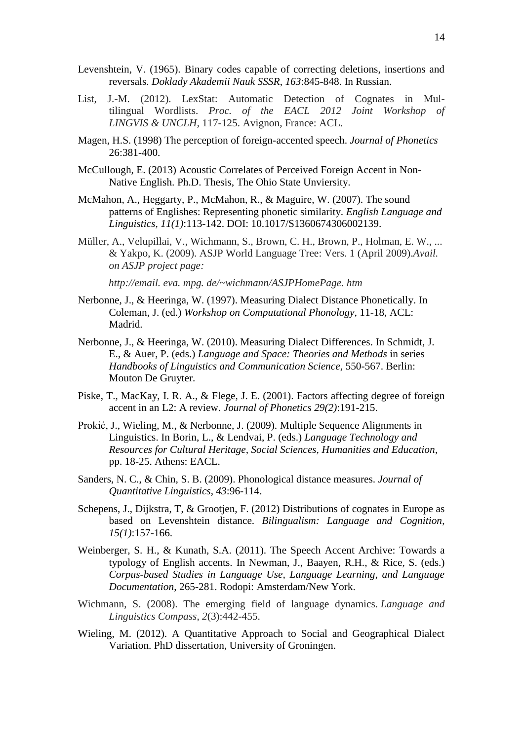- Levenshtein, V. (1965). Binary codes capable of correcting deletions, insertions and reversals. *Doklady Akademii Nauk SSSR*, *163*:845-848. In Russian.
- List, J.-M. (2012). LexStat: Automatic Detection of Cognates in Multilingual Wordlists. *Proc. of the EACL 2012 Joint Workshop of LINGVIS & UNCLH*, 117-125. Avignon, France: ACL.
- Magen, H.S. (1998) The perception of foreign-accented speech. *Journal of Phonetics* 26:381-400.
- McCullough, E. (2013) Acoustic Correlates of Perceived Foreign Accent in Non-Native English. Ph.D. Thesis, The Ohio State Unviersity.
- McMahon, A., Heggarty, P., McMahon, R., & Maguire, W. (2007). The sound patterns of Englishes: Representing phonetic similarity. *English Language and Linguistics, 11(1)*:113-142. DOI: 10.1017/S1360674306002139.
- Müller, A., Velupillai, V., Wichmann, S., Brown, C. H., Brown, P., Holman, E. W., ... & Yakpo, K. (2009). ASJP World Language Tree: Vers. 1 (April 2009).*Avail. on ASJP project page:*

*http://email. eva. mpg. de/~wichmann/ASJPHomePage. htm*

- Nerbonne, J., & Heeringa, W. (1997). Measuring Dialect Distance Phonetically. In Coleman, J. (ed.) *Workshop on Computational Phonology,* 11-18, ACL: Madrid.
- Nerbonne, J., & Heeringa, W. (2010). Measuring Dialect Differences. In Schmidt, J. E., & Auer, P. (eds.) *Language and Space: Theories and Methods* in series *Handbooks of Linguistics and Communication Science*, 550-567. Berlin: Mouton De Gruyter.
- Piske, T., MacKay, I. R. A., & Flege, J. E. (2001). Factors affecting degree of foreign accent in an L2: A review. *Journal of Phonetics 29(2)*:191-215.
- Prokić, J., Wieling, M., & Nerbonne, J. (2009). Multiple Sequence Alignments in Linguistics. In Borin, L., & Lendvai, P. (eds.) *Language Technology and Resources for Cultural Heritage, Social Sciences, Humanities and Education*, pp. 18-25. Athens: EACL.
- Sanders, N. C., & Chin, S. B. (2009). Phonological distance measures. *Journal of Quantitative Linguistics*, *43*:96-114.
- Schepens, J., Dijkstra, T, & Grootjen, F. (2012) Distributions of cognates in Europe as based on Levenshtein distance. *Bilingualism: Language and Cognition*, *15(1)*:157-166.
- Weinberger, S. H., & Kunath, S.A. (2011). The Speech Accent Archive: Towards a typology of English accents. In Newman, J., Baayen, R.H., & Rice, S. (eds.) *Corpus-based Studies in Language Use, Language Learning, and Language Documentation*, 265-281. Rodopi: Amsterdam/New York.
- Wichmann, S. (2008). The emerging field of language dynamics. *Language and Linguistics Compass*, *2*(3):442-455.
- Wieling, M. (2012). A Quantitative Approach to Social and Geographical Dialect Variation. PhD dissertation, University of Groningen.